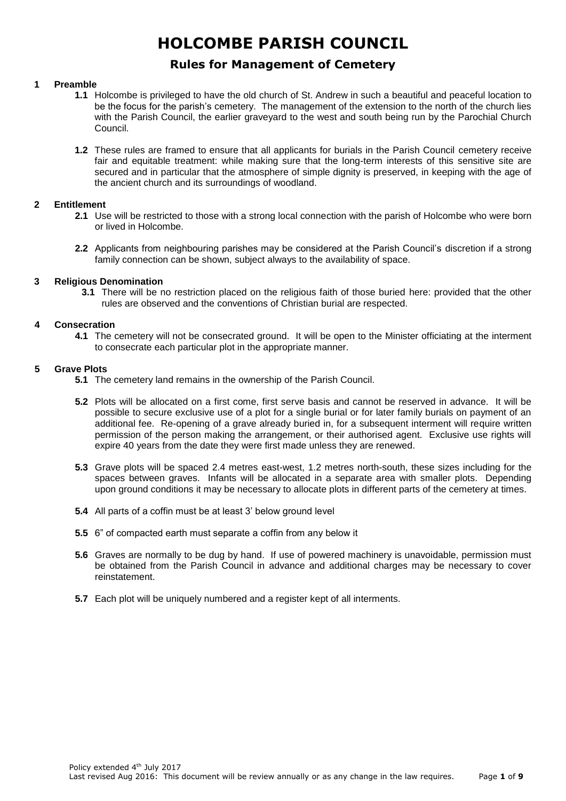# **Rules for Management of Cemetery**

### **1 Preamble**

- **1.1** Holcombe is privileged to have the old church of St. Andrew in such a beautiful and peaceful location to be the focus for the parish's cemetery. The management of the extension to the north of the church lies with the Parish Council, the earlier graveyard to the west and south being run by the Parochial Church Council.
- **1.2** These rules are framed to ensure that all applicants for burials in the Parish Council cemetery receive fair and equitable treatment: while making sure that the long-term interests of this sensitive site are secured and in particular that the atmosphere of simple dignity is preserved, in keeping with the age of the ancient church and its surroundings of woodland.

#### **2 Entitlement**

- **2.1** Use will be restricted to those with a strong local connection with the parish of Holcombe who were born or lived in Holcombe.
- **2.2** Applicants from neighbouring parishes may be considered at the Parish Council's discretion if a strong family connection can be shown, subject always to the availability of space.

### **3 Religious Denomination**

**3.1** There will be no restriction placed on the religious faith of those buried here: provided that the other rules are observed and the conventions of Christian burial are respected.

### **4 Consecration**

**4.1** The cemetery will not be consecrated ground. It will be open to the Minister officiating at the interment to consecrate each particular plot in the appropriate manner.

### **5 Grave Plots**

- **5.1** The cemetery land remains in the ownership of the Parish Council.
- **5.2** Plots will be allocated on a first come, first serve basis and cannot be reserved in advance. It will be possible to secure exclusive use of a plot for a single burial or for later family burials on payment of an additional fee. Re-opening of a grave already buried in, for a subsequent interment will require written permission of the person making the arrangement, or their authorised agent. Exclusive use rights will expire 40 years from the date they were first made unless they are renewed.
- **5.3** Grave plots will be spaced 2.4 metres east-west, 1.2 metres north-south, these sizes including for the spaces between graves. Infants will be allocated in a separate area with smaller plots. Depending upon ground conditions it may be necessary to allocate plots in different parts of the cemetery at times.
- **5.4** All parts of a coffin must be at least 3' below ground level
- **5.5** 6" of compacted earth must separate a coffin from any below it
- **5.6** Graves are normally to be dug by hand. If use of powered machinery is unavoidable, permission must be obtained from the Parish Council in advance and additional charges may be necessary to cover reinstatement.
- **5.7** Each plot will be uniquely numbered and a register kept of all interments.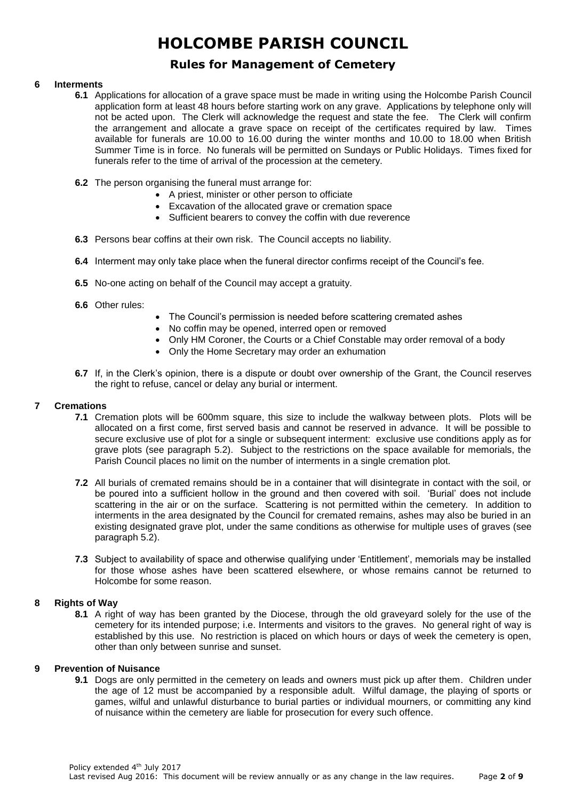# **Rules for Management of Cemetery**

## **6 Interments**

- **6.1** Applications for allocation of a grave space must be made in writing using the Holcombe Parish Council application form at least 48 hours before starting work on any grave. Applications by telephone only will not be acted upon. The Clerk will acknowledge the request and state the fee. The Clerk will confirm the arrangement and allocate a grave space on receipt of the certificates required by law. Times available for funerals are 10.00 to 16.00 during the winter months and 10.00 to 18.00 when British Summer Time is in force. No funerals will be permitted on Sundays or Public Holidays. Times fixed for funerals refer to the time of arrival of the procession at the cemetery.
- **6.2** The person organising the funeral must arrange for:
	- A priest, minister or other person to officiate
	- Excavation of the allocated grave or cremation space
	- Sufficient bearers to convey the coffin with due reverence
- **6.3** Persons bear coffins at their own risk. The Council accepts no liability.
- **6.4** Interment may only take place when the funeral director confirms receipt of the Council's fee.
- **6.5** No-one acting on behalf of the Council may accept a gratuity.
- **6.6** Other rules:
- The Council's permission is needed before scattering cremated ashes
- No coffin may be opened, interred open or removed
- Only HM Coroner, the Courts or a Chief Constable may order removal of a body
- Only the Home Secretary may order an exhumation
- **6.7** If, in the Clerk's opinion, there is a dispute or doubt over ownership of the Grant, the Council reserves the right to refuse, cancel or delay any burial or interment.

### **7 Cremations**

- **7.1** Cremation plots will be 600mm square, this size to include the walkway between plots. Plots will be allocated on a first come, first served basis and cannot be reserved in advance. It will be possible to secure exclusive use of plot for a single or subsequent interment: exclusive use conditions apply as for grave plots (see paragraph 5.2). Subject to the restrictions on the space available for memorials, the Parish Council places no limit on the number of interments in a single cremation plot.
- **7.2** All burials of cremated remains should be in a container that will disintegrate in contact with the soil, or be poured into a sufficient hollow in the ground and then covered with soil. 'Burial' does not include scattering in the air or on the surface. Scattering is not permitted within the cemetery. In addition to interments in the area designated by the Council for cremated remains, ashes may also be buried in an existing designated grave plot, under the same conditions as otherwise for multiple uses of graves (see paragraph 5.2).
- **7.3** Subject to availability of space and otherwise qualifying under 'Entitlement', memorials may be installed for those whose ashes have been scattered elsewhere, or whose remains cannot be returned to Holcombe for some reason.

## **8 Rights of Way**

**8.1** A right of way has been granted by the Diocese, through the old graveyard solely for the use of the cemetery for its intended purpose; i.e. Interments and visitors to the graves. No general right of way is established by this use. No restriction is placed on which hours or days of week the cemetery is open, other than only between sunrise and sunset.

#### **9 Prevention of Nuisance**

**9.1** Dogs are only permitted in the cemetery on leads and owners must pick up after them. Children under the age of 12 must be accompanied by a responsible adult. Wilful damage, the playing of sports or games, wilful and unlawful disturbance to burial parties or individual mourners, or committing any kind of nuisance within the cemetery are liable for prosecution for every such offence.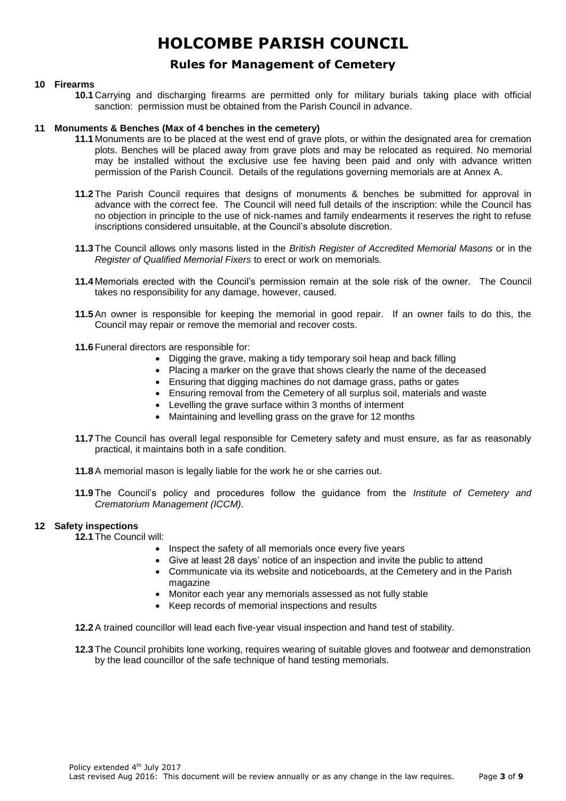# **Rules for Management of Cemetery**

## **10 Firearms**

**10.1** Carrying and discharging firearms are permitted only for military burials taking place with official sanction: permission must be obtained from the Parish Council in advance.

### **11 Monuments & Benches (Max of 4 benches in the cemetery)**

- **11.1** Monuments are to be placed at the west end of grave plots, or within the designated area for cremation plots. Benches will be placed away from grave plots and may be relocated as required. No memorial may be installed without the exclusive use fee having been paid and only with advance written permission of the Parish Council. Details of the regulations governing memorials are at Annex A.
- **11.2** The Parish Council requires that designs of monuments & benches be submitted for approval in advance with the correct fee. The Council will need full details of the inscription: while the Council has no objection in principle to the use of nick-names and family endearments it reserves the right to refuse inscriptions considered unsuitable, at the Council's absolute discretion.
- **11.3** The Council allows only masons listed in the *British Register of Accredited Memorial Masons* or in the *Register of Qualified Memorial Fixers* to erect or work on memorials*.*
- **11.4** Memorials erected with the Council's permission remain at the sole risk of the owner*.* The Council takes no responsibility for any damage, however, caused.
- **11.5** An owner is responsible for keeping the memorial in good repair. If an owner fails to do this, the Council may repair or remove the memorial and recover costs.
- **11.6** Funeral directors are responsible for:
	- Digging the grave, making a tidy temporary soil heap and back filling
	- Placing a marker on the grave that shows clearly the name of the deceased
	- Ensuring that digging machines do not damage grass, paths or gates
	- Ensuring removal from the Cemetery of all surplus soil, materials and waste
	- Levelling the grave surface within 3 months of interment
	- Maintaining and levelling grass on the grave for 12 months
- **11.7** The Council has overall legal responsible for Cemetery safety and must ensure, as far as reasonably practical, it maintains both in a safe condition.
- **11.8** A memorial mason is legally liable for the work he or she carries out.
- **11.9** The Council's policy and procedures follow the guidance from the *Institute of Cemetery and Crematorium Management (ICCM)*.

## **12 Safety inspections**

**12.1** The Council will:

- Inspect the safety of all memorials once every five years
- Give at least 28 days' notice of an inspection and invite the public to attend
- Communicate via its website and noticeboards, at the Cemetery and in the Parish magazine
- Monitor each year any memorials assessed as not fully stable
- Keep records of memorial inspections and results

**12.2** A trained councillor will lead each five-year visual inspection and hand test of stability.

**12.3** The Council prohibits lone working, requires wearing of suitable gloves and footwear and demonstration by the lead councillor of the safe technique of hand testing memorials.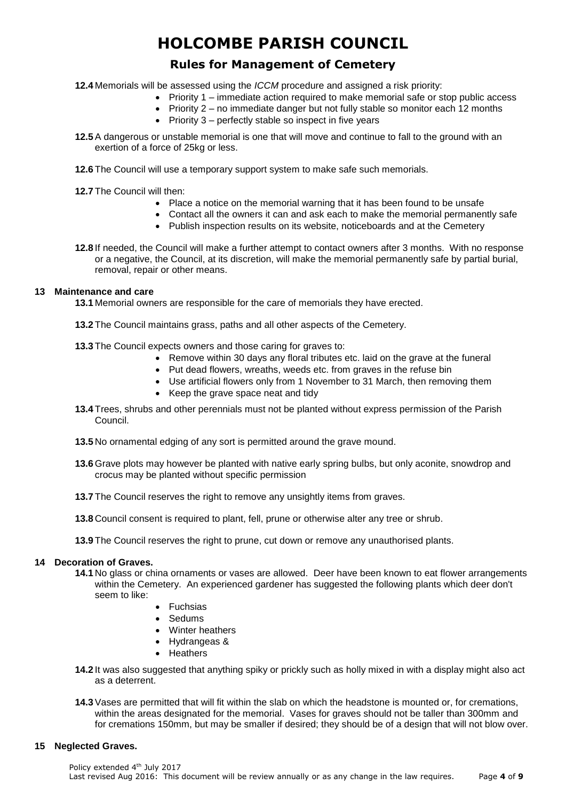# **Rules for Management of Cemetery**

- **12.4** Memorials will be assessed using the *ICCM* procedure and assigned a risk priority:
	- Priority 1 immediate action required to make memorial safe or stop public access
		- Priority 2 no immediate danger but not fully stable so monitor each 12 months
		- Priority 3 perfectly stable so inspect in five years
- **12.5** A dangerous or unstable memorial is one that will move and continue to fall to the ground with an exertion of a force of 25kg or less.
- **12.6** The Council will use a temporary support system to make safe such memorials.

**12.7** The Council will then:

- Place a notice on the memorial warning that it has been found to be unsafe
- Contact all the owners it can and ask each to make the memorial permanently safe
- Publish inspection results on its website, noticeboards and at the Cemetery
- **12.8** If needed, the Council will make a further attempt to contact owners after 3 months. With no response or a negative, the Council, at its discretion, will make the memorial permanently safe by partial burial, removal, repair or other means.

### **13 Maintenance and care**

**13.1** Memorial owners are responsible for the care of memorials they have erected.

- **13.2** The Council maintains grass, paths and all other aspects of the Cemetery.
- **13.3** The Council expects owners and those caring for graves to:
	- Remove within 30 days any floral tributes etc. laid on the grave at the funeral
	- Put dead flowers, wreaths, weeds etc. from graves in the refuse bin
	- Use artificial flowers only from 1 November to 31 March, then removing them
	- Keep the grave space neat and tidy
- **13.4** Trees, shrubs and other perennials must not be planted without express permission of the Parish Council.
- **13.5** No ornamental edging of any sort is permitted around the grave mound.
- **13.6** Grave plots may however be planted with native early spring bulbs, but only aconite, snowdrop and crocus may be planted without specific permission
- **13.7** The Council reserves the right to remove any unsightly items from graves.
- **13.8** Council consent is required to plant, fell, prune or otherwise alter any tree or shrub.
- **13.9** The Council reserves the right to prune, cut down or remove any unauthorised plants.

## **14 Decoration of Graves.**

- **14.1** No glass or china ornaments or vases are allowed. Deer have been known to eat flower arrangements within the Cemetery. An experienced gardener has suggested the following plants which deer don't seem to like:
	- **Fuchsias**
	- Sedums
	- Winter heathers
	- Hydrangeas &
	- Heathers
- **14.2** It was also suggested that anything spiky or prickly such as holly mixed in with a display might also act as a deterrent.
- **14.3** Vases are permitted that will fit within the slab on which the headstone is mounted or, for cremations, within the areas designated for the memorial. Vases for graves should not be taller than 300mm and for cremations 150mm, but may be smaller if desired; they should be of a design that will not blow over.

#### **15 Neglected Graves.**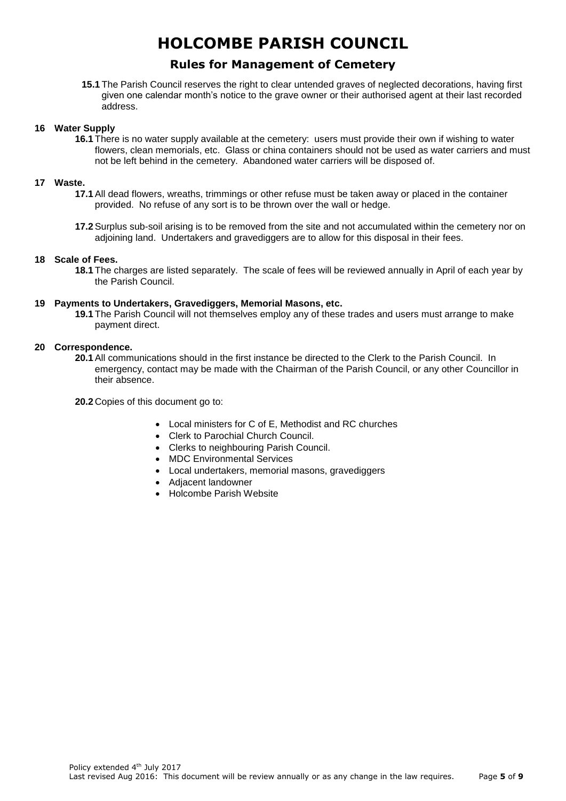# **Rules for Management of Cemetery**

**15.1** The Parish Council reserves the right to clear untended graves of neglected decorations, having first given one calendar month's notice to the grave owner or their authorised agent at their last recorded address.

### **16 Water Supply**

**16.1** There is no water supply available at the cemetery: users must provide their own if wishing to water flowers, clean memorials, etc. Glass or china containers should not be used as water carriers and must not be left behind in the cemetery. Abandoned water carriers will be disposed of.

#### **17 Waste.**

- **17.1** All dead flowers, wreaths, trimmings or other refuse must be taken away or placed in the container provided. No refuse of any sort is to be thrown over the wall or hedge.
- **17.2** Surplus sub-soil arising is to be removed from the site and not accumulated within the cemetery nor on adjoining land. Undertakers and gravediggers are to allow for this disposal in their fees.

#### **18 Scale of Fees.**

**18.1** The charges are listed separately. The scale of fees will be reviewed annually in April of each year by the Parish Council.

#### **19 Payments to Undertakers, Gravediggers, Memorial Masons, etc.**

**19.1** The Parish Council will not themselves employ any of these trades and users must arrange to make payment direct.

#### **20 Correspondence.**

**20.1** All communications should in the first instance be directed to the Clerk to the Parish Council. In emergency, contact may be made with the Chairman of the Parish Council, or any other Councillor in their absence.

**20.2** Copies of this document go to:

- Local ministers for C of E, Methodist and RC churches
- Clerk to Parochial Church Council.
- Clerks to neighbouring Parish Council.
- MDC Environmental Services
- Local undertakers, memorial masons, gravediggers
- Adjacent landowner
- Holcombe Parish Website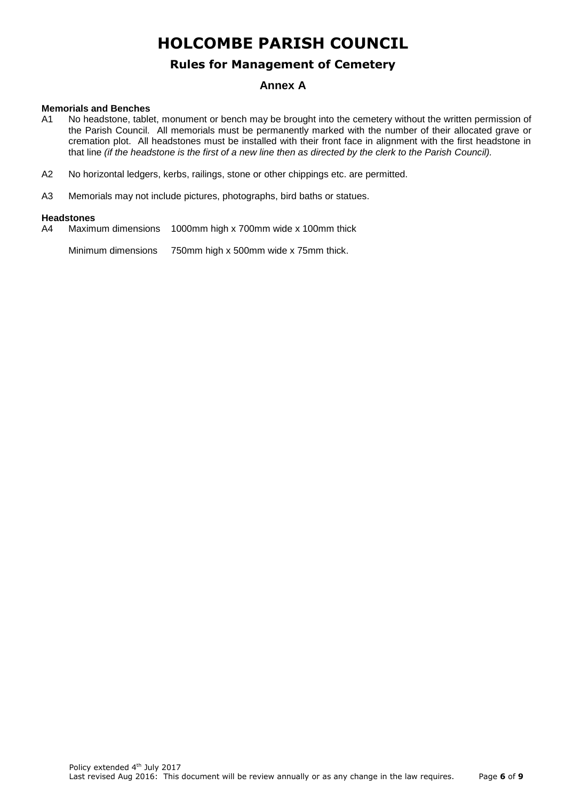## **Rules for Management of Cemetery**

## **Annex A**

#### **Memorials and Benches**

- A1 No headstone, tablet, monument or bench may be brought into the cemetery without the written permission of the Parish Council. All memorials must be permanently marked with the number of their allocated grave or cremation plot. All headstones must be installed with their front face in alignment with the first headstone in that line *(if the headstone is the first of a new line then as directed by the clerk to the Parish Council).*
- A2 No horizontal ledgers, kerbs, railings, stone or other chippings etc. are permitted.
- A3 Memorials may not include pictures, photographs, bird baths or statues.

#### **Headstones**

A4 Maximum dimensions 1000mm high x 700mm wide x 100mm thick

Minimum dimensions 750mm high x 500mm wide x 75mm thick.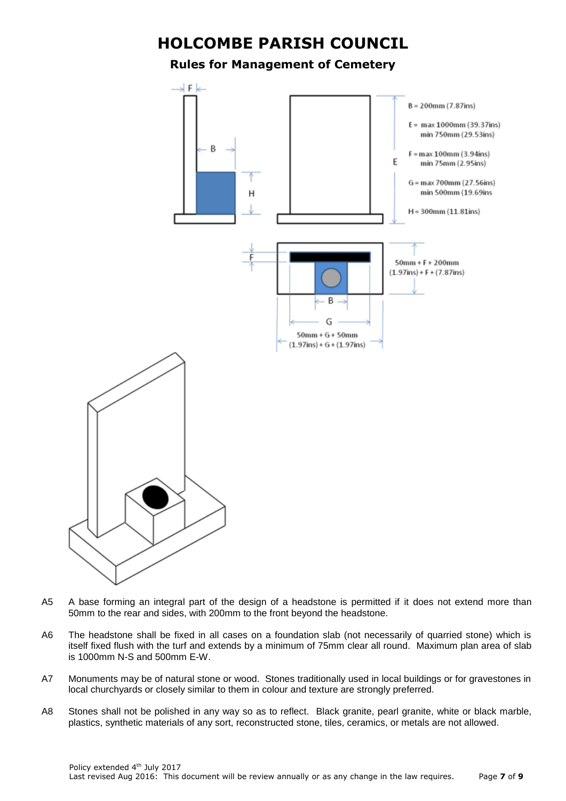## **Rules for Management of Cemetery**



- A5 A base forming an integral part of the design of a headstone is permitted if it does not extend more than 50mm to the rear and sides, with 200mm to the front beyond the headstone.
- A6 The headstone shall be fixed in all cases on a foundation slab (not necessarily of quarried stone) which is itself fixed flush with the turf and extends by a minimum of 75mm clear all round. Maximum plan area of slab is 1000mm N-S and 500mm E-W.
- A7 Monuments may be of natural stone or wood. Stones traditionally used in local buildings or for gravestones in local churchyards or closely similar to them in colour and texture are strongly preferred.
- A8 Stones shall not be polished in any way so as to reflect. Black granite, pearl granite, white or black marble, plastics, synthetic materials of any sort, reconstructed stone, tiles, ceramics, or metals are not allowed.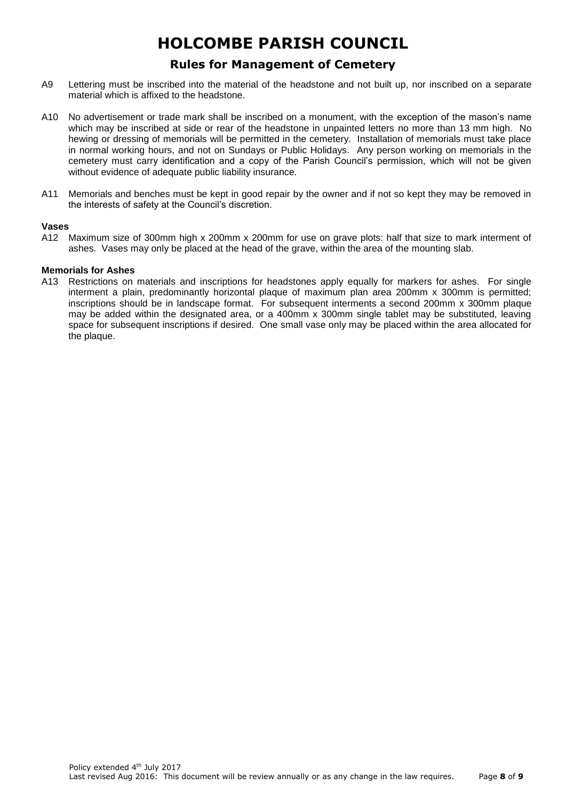# **Rules for Management of Cemetery**

- A9 Lettering must be inscribed into the material of the headstone and not built up, nor inscribed on a separate material which is affixed to the headstone.
- A10 No advertisement or trade mark shall be inscribed on a monument, with the exception of the mason's name which may be inscribed at side or rear of the headstone in unpainted letters no more than 13 mm high. No hewing or dressing of memorials will be permitted in the cemetery. Installation of memorials must take place in normal working hours, and not on Sundays or Public Holidays. Any person working on memorials in the cemetery must carry identification and a copy of the Parish Council's permission, which will not be given without evidence of adequate public liability insurance.
- A11 Memorials and benches must be kept in good repair by the owner and if not so kept they may be removed in the interests of safety at the Council's discretion.

#### **Vases**

A12 Maximum size of 300mm high x 200mm x 200mm for use on grave plots: half that size to mark interment of ashes. Vases may only be placed at the head of the grave, within the area of the mounting slab.

### **Memorials for Ashes**

A13 Restrictions on materials and inscriptions for headstones apply equally for markers for ashes. For single interment a plain, predominantly horizontal plaque of maximum plan area 200mm x 300mm is permitted; inscriptions should be in landscape format. For subsequent interments a second 200mm x 300mm plaque may be added within the designated area, or a 400mm x 300mm single tablet may be substituted, leaving space for subsequent inscriptions if desired. One small vase only may be placed within the area allocated for the plaque.